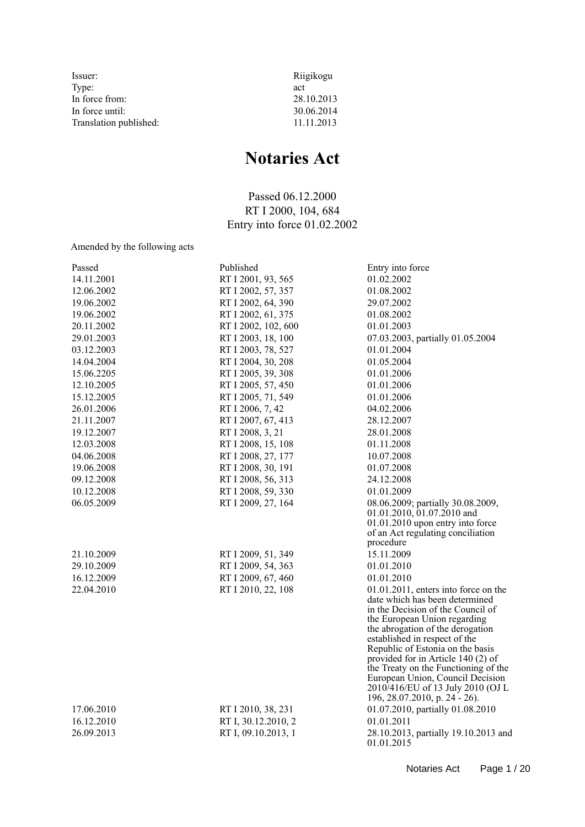| Issuer:                | Riigikogu  |
|------------------------|------------|
| Type:                  | act        |
| In force from:         | 28.10.2013 |
| In force until:        | 30.06.2014 |
| Translation published: | 11.11.2013 |

# **Notaries Act**

Passed 06.12.2000 RT I 2000, 104, 684 Entry into force 01.02.2002

Amended by the following acts

| Passed     | Published           | Entry into force                                                      |
|------------|---------------------|-----------------------------------------------------------------------|
| 14.11.2001 | RT I 2001, 93, 565  | 01.02.2002                                                            |
| 12.06.2002 | RT I 2002, 57, 357  | 01.08.2002                                                            |
| 19.06.2002 | RT I 2002, 64, 390  | 29.07.2002                                                            |
| 19.06.2002 | RT I 2002, 61, 375  | 01.08.2002                                                            |
| 20.11.2002 | RT I 2002, 102, 600 | 01.01.2003                                                            |
| 29.01.2003 | RT I 2003, 18, 100  | 07.03.2003, partially 01.05.2004                                      |
| 03.12.2003 | RT I 2003, 78, 527  | 01.01.2004                                                            |
| 14.04.2004 | RT I 2004, 30, 208  | 01.05.2004                                                            |
| 15.06.2205 | RT I 2005, 39, 308  | 01.01.2006                                                            |
| 12.10.2005 | RT I 2005, 57, 450  | 01.01.2006                                                            |
| 15.12.2005 | RT I 2005, 71, 549  | 01.01.2006                                                            |
| 26.01.2006 | RT I 2006, 7, 42    | 04.02.2006                                                            |
| 21.11.2007 | RT I 2007, 67, 413  | 28.12.2007                                                            |
| 19.12.2007 | RT I 2008, 3, 21    | 28.01.2008                                                            |
| 12.03.2008 | RT I 2008, 15, 108  | 01.11.2008                                                            |
| 04.06.2008 | RT I 2008, 27, 177  | 10.07.2008                                                            |
| 19.06.2008 | RT I 2008, 30, 191  | 01.07.2008                                                            |
| 09.12.2008 | RT I 2008, 56, 313  | 24.12.2008                                                            |
| 10.12.2008 | RT I 2008, 59, 330  | 01.01.2009                                                            |
| 06.05.2009 | RT I 2009, 27, 164  | 08.06.2009; partially 30.08.2009,                                     |
|            |                     | 01.01.2010, 01.07.2010 and                                            |
|            |                     | 01.01.2010 upon entry into force<br>of an Act regulating conciliation |
|            |                     | procedure                                                             |
| 21.10.2009 | RT I 2009, 51, 349  | 15.11.2009                                                            |
| 29.10.2009 | RT I 2009, 54, 363  | 01.01.2010                                                            |
| 16.12.2009 | RT I 2009, 67, 460  | 01.01.2010                                                            |
| 22.04.2010 | RT I 2010, 22, 108  | $01.01.2011$ , enters into force on the                               |
|            |                     | date which has been determined                                        |
|            |                     | in the Decision of the Council of                                     |
|            |                     | the European Union regarding                                          |
|            |                     | the abrogation of the derogation<br>established in respect of the     |
|            |                     | Republic of Estonia on the basis                                      |
|            |                     | provided for in Article 140 (2) of                                    |
|            |                     | the Treaty on the Functioning of the                                  |
|            |                     | European Union, Council Decision<br>2010/416/EU of 13 July 2010 (OJ L |
|            |                     | 196, 28.07.2010, p. 24 - 26).                                         |
| 17.06.2010 | RT I 2010, 38, 231  | 01.07.2010, partially 01.08.2010                                      |
| 16.12.2010 | RT I, 30.12.2010, 2 | 01.01.2011                                                            |
| 26.09.2013 | RT I, 09.10.2013, 1 | 28.10.2013, partially 19.10.2013 and                                  |
|            |                     | 01.01.2015                                                            |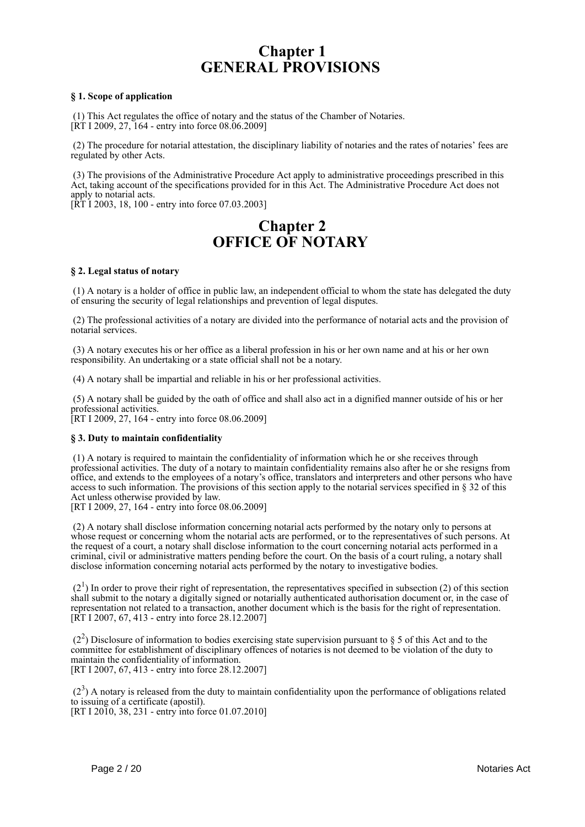# **Chapter 1 GENERAL PROVISIONS**

# **§ 1. Scope of application**

 (1) This Act regulates the office of notary and the status of the Chamber of Notaries.  $[\hat{R}T]$  1 2009, 27, 164 - entry into force 08.06.2009]

 (2) The procedure for notarial attestation, the disciplinary liability of notaries and the rates of notaries' fees are regulated by other Acts.

 (3) The provisions of the Administrative Procedure Act apply to administrative proceedings prescribed in this Act, taking account of the specifications provided for in this Act. The Administrative Procedure Act does not apply to notarial acts.

[RT I 2003, 18, 100 - entry into force 07.03.2003]

# **Chapter 2 OFFICE OF NOTARY**

# **§ 2. Legal status of notary**

 (1) A notary is a holder of office in public law, an independent official to whom the state has delegated the duty of ensuring the security of legal relationships and prevention of legal disputes.

 (2) The professional activities of a notary are divided into the performance of notarial acts and the provision of notarial services.

 (3) A notary executes his or her office as a liberal profession in his or her own name and at his or her own responsibility. An undertaking or a state official shall not be a notary.

(4) A notary shall be impartial and reliable in his or her professional activities.

 (5) A notary shall be guided by the oath of office and shall also act in a dignified manner outside of his or her professional activities.

[RT I 2009, 27, 164 - entry into force 08.06.2009]

# **§ 3. Duty to maintain confidentiality**

 (1) A notary is required to maintain the confidentiality of information which he or she receives through professional activities. The duty of a notary to maintain confidentiality remains also after he or she resigns from office, and extends to the employees of a notary's office, translators and interpreters and other persons who have access to such information. The provisions of this section apply to the notarial services specified in § 32 of this Act unless otherwise provided by law.

[RT I 2009, 27, 164 - entry into force 08.06.2009]

 (2) A notary shall disclose information concerning notarial acts performed by the notary only to persons at whose request or concerning whom the notarial acts are performed, or to the representatives of such persons. At the request of a court, a notary shall disclose information to the court concerning notarial acts performed in a criminal, civil or administrative matters pending before the court. On the basis of a court ruling, a notary shall disclose information concerning notarial acts performed by the notary to investigative bodies.

 $(2<sup>1</sup>)$  In order to prove their right of representation, the representatives specified in subsection (2) of this section shall submit to the notary a digitally signed or notarially authenticated authorisation document or, in the case of representation not related to a transaction, another document which is the basis for the right of representation. [RT I 2007, 67, 413 - entry into force 28.12.2007]

 $(2<sup>2</sup>)$  Disclosure of information to bodies exercising state supervision pursuant to § 5 of this Act and to the committee for establishment of disciplinary offences of notaries is not deemed to be violation of the duty to maintain the confidentiality of information. [RT I 2007, 67, 413 - entry into force 28.12.2007]

 $(2<sup>3</sup>)$  A notary is released from the duty to maintain confidentiality upon the performance of obligations related to issuing of a certificate (apostil). [RT I 2010, 38, 231 - entry into force 01.07.2010]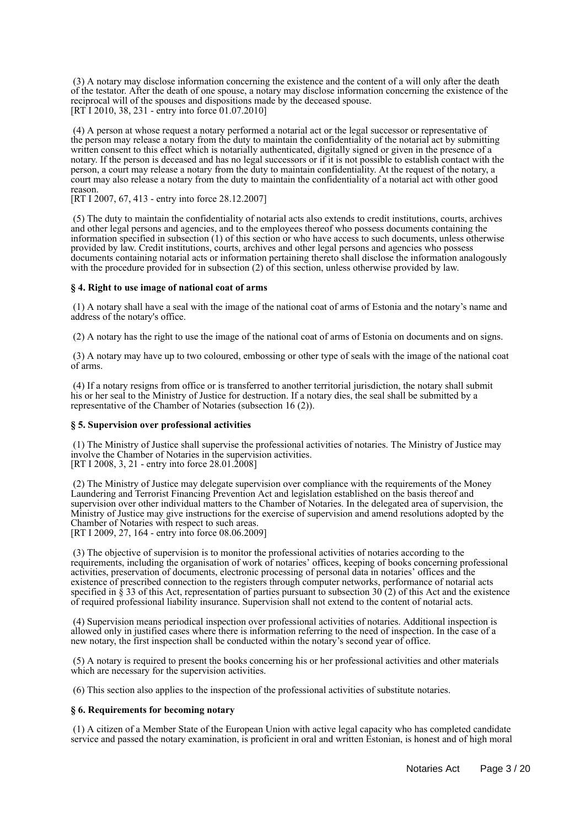(3) A notary may disclose information concerning the existence and the content of a will only after the death of the testator. After the death of one spouse, a notary may disclose information concerning the existence of the reciprocal will of the spouses and dispositions made by the deceased spouse. [RT I 2010, 38, 231 - entry into force 01.07.2010]

 (4) A person at whose request a notary performed a notarial act or the legal successor or representative of the person may release a notary from the duty to maintain the confidentiality of the notarial act by submitting written consent to this effect which is notarially authenticated, digitally signed or given in the presence of a notary. If the person is deceased and has no legal successors or if it is not possible to establish contact with the person, a court may release a notary from the duty to maintain confidentiality. At the request of the notary, a court may also release a notary from the duty to maintain the confidentiality of a notarial act with other good reason.

[RT I 2007, 67, 413 - entry into force 28.12.2007]

 (5) The duty to maintain the confidentiality of notarial acts also extends to credit institutions, courts, archives and other legal persons and agencies, and to the employees thereof who possess documents containing the information specified in subsection (1) of this section or who have access to such documents, unless otherwise provided by law. Credit institutions, courts, archives and other legal persons and agencies who possess documents containing notarial acts or information pertaining thereto shall disclose the information analogously with the procedure provided for in subsection (2) of this section, unless otherwise provided by law.

# **§ 4. Right to use image of national coat of arms**

 (1) A notary shall have a seal with the image of the national coat of arms of Estonia and the notary's name and address of the notary's office.

(2) A notary has the right to use the image of the national coat of arms of Estonia on documents and on signs.

 (3) A notary may have up to two coloured, embossing or other type of seals with the image of the national coat of arms.

 (4) If a notary resigns from office or is transferred to another territorial jurisdiction, the notary shall submit his or her seal to the Ministry of Justice for destruction. If a notary dies, the seal shall be submitted by a representative of the Chamber of Notaries (subsection 16 (2)).

# **§ 5. Supervision over professional activities**

 (1) The Ministry of Justice shall supervise the professional activities of notaries. The Ministry of Justice may involve the Chamber of Notaries in the supervision activities. [RT I 2008, 3, 21 - entry into force 28.01.2008]

 (2) The Ministry of Justice may delegate supervision over compliance with the requirements of the Money Laundering and Terrorist Financing Prevention Act and legislation established on the basis thereof and supervision over other individual matters to the Chamber of Notaries. In the delegated area of supervision, the Ministry of Justice may give instructions for the exercise of supervision and amend resolutions adopted by the Chamber of Notaries with respect to such areas. [RT I 2009, 27, 164 - entry into force 08.06.2009]

 (3) The objective of supervision is to monitor the professional activities of notaries according to the requirements, including the organisation of work of notaries' offices, keeping of books concerning professional activities, preservation of documents, electronic processing of personal data in notaries' offices and the existence of prescribed connection to the registers through computer networks, performance of notarial acts specified in  $\S$  33 of this Act, representation of parties pursuant to subsection 30 (2) of this Act and the existence of required professional liability insurance. Supervision shall not extend to the content of notarial acts.

 (4) Supervision means periodical inspection over professional activities of notaries. Additional inspection is allowed only in justified cases where there is information referring to the need of inspection. In the case of a new notary, the first inspection shall be conducted within the notary's second year of office.

 (5) A notary is required to present the books concerning his or her professional activities and other materials which are necessary for the supervision activities.

(6) This section also applies to the inspection of the professional activities of substitute notaries.

# **§ 6. Requirements for becoming notary**

 (1) A citizen of a Member State of the European Union with active legal capacity who has completed candidate service and passed the notary examination, is proficient in oral and written Estonian, is honest and of high moral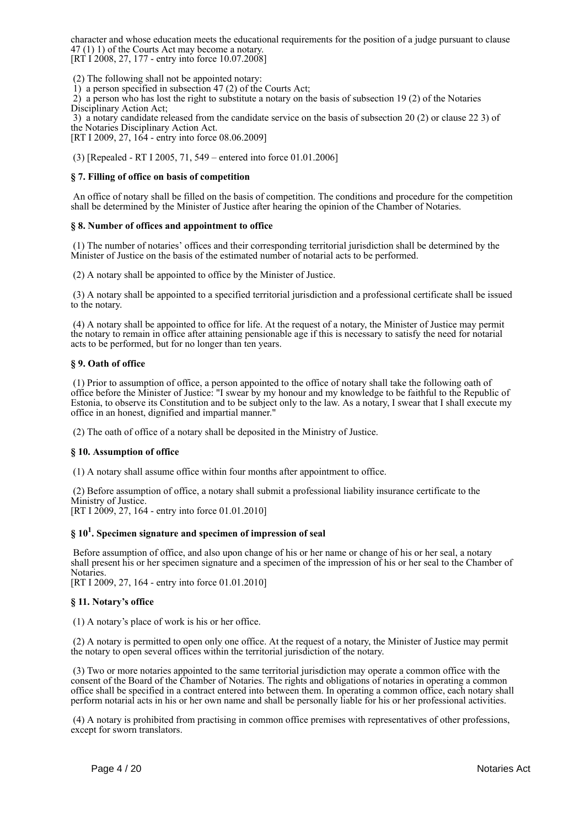character and whose education meets the educational requirements for the position of a judge pursuant to clause 47 (1) 1) of the Courts Act may become a notary.  $[RT\ 1\ 2008, 27, 177$  - entry into force 10.07.2008]

(2) The following shall not be appointed notary:

1) a person specified in subsection 47 (2) of the Courts Act;

 2) a person who has lost the right to substitute a notary on the basis of subsection 19 (2) of the Notaries Disciplinary Action Act:

 3) a notary candidate released from the candidate service on the basis of subsection 20 (2) or clause 22 3) of the Notaries Disciplinary Action Act.

[RT I 2009, 27, 164 - entry into force 08.06.2009]

(3) [Repealed - RT I 2005, 71, 549 – entered into force 01.01.2006]

# **§ 7. Filling of office on basis of competition**

 An office of notary shall be filled on the basis of competition. The conditions and procedure for the competition shall be determined by the Minister of Justice after hearing the opinion of the Chamber of Notaries.

# **§ 8. Number of offices and appointment to office**

 (1) The number of notaries' offices and their corresponding territorial jurisdiction shall be determined by the Minister of Justice on the basis of the estimated number of notarial acts to be performed.

(2) A notary shall be appointed to office by the Minister of Justice.

 (3) A notary shall be appointed to a specified territorial jurisdiction and a professional certificate shall be issued to the notary.

 (4) A notary shall be appointed to office for life. At the request of a notary, the Minister of Justice may permit the notary to remain in office after attaining pensionable age if this is necessary to satisfy the need for notarial acts to be performed, but for no longer than ten years.

# **§ 9. Oath of office**

 (1) Prior to assumption of office, a person appointed to the office of notary shall take the following oath of office before the Minister of Justice: "I swear by my honour and my knowledge to be faithful to the Republic of Estonia, to observe its Constitution and to be subject only to the law. As a notary, I swear that I shall execute my office in an honest, dignified and impartial manner."

(2) The oath of office of a notary shall be deposited in the Ministry of Justice.

# **§ 10. Assumption of office**

(1) A notary shall assume office within four months after appointment to office.

 (2) Before assumption of office, a notary shall submit a professional liability insurance certificate to the Ministry of Justice. [RT I 2009, 27, 164 - entry into force 01.01.2010]

# **§ 10<sup>1</sup> . Specimen signature and specimen of impression of seal**

 Before assumption of office, and also upon change of his or her name or change of his or her seal, a notary shall present his or her specimen signature and a specimen of the impression of his or her seal to the Chamber of Notaries.

[RT I 2009, 27, 164 - entry into force 01.01.2010]

# **§ 11. Notary's office**

(1) A notary's place of work is his or her office.

 (2) A notary is permitted to open only one office. At the request of a notary, the Minister of Justice may permit the notary to open several offices within the territorial jurisdiction of the notary.

 (3) Two or more notaries appointed to the same territorial jurisdiction may operate a common office with the consent of the Board of the Chamber of Notaries. The rights and obligations of notaries in operating a common office shall be specified in a contract entered into between them. In operating a common office, each notary shall perform notarial acts in his or her own name and shall be personally liable for his or her professional activities.

 (4) A notary is prohibited from practising in common office premises with representatives of other professions, except for sworn translators.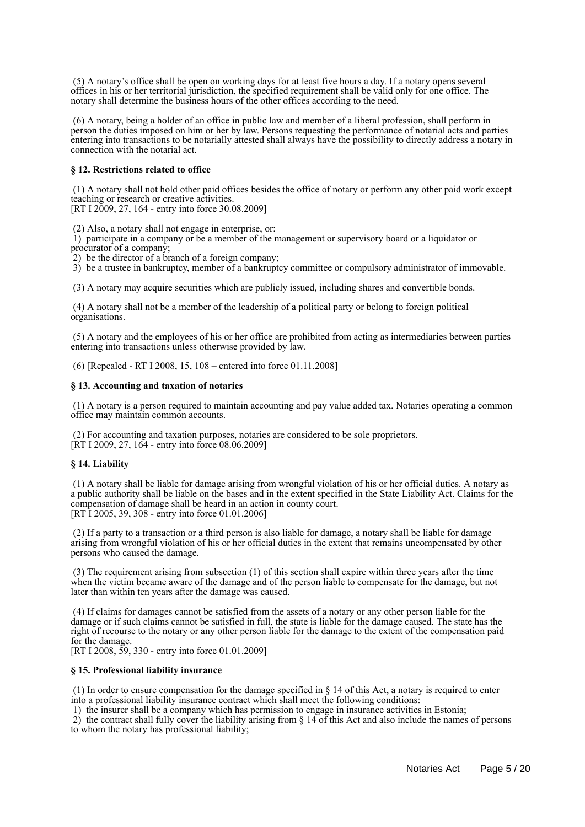(5) A notary's office shall be open on working days for at least five hours a day. If a notary opens several offices in his or her territorial jurisdiction, the specified requirement shall be valid only for one office. The notary shall determine the business hours of the other offices according to the need.

 (6) A notary, being a holder of an office in public law and member of a liberal profession, shall perform in person the duties imposed on him or her by law. Persons requesting the performance of notarial acts and parties entering into transactions to be notarially attested shall always have the possibility to directly address a notary in connection with the notarial act.

# **§ 12. Restrictions related to office**

 (1) A notary shall not hold other paid offices besides the office of notary or perform any other paid work except teaching or research or creative activities.

[RT I 2009, 27, 164 - entry into force 30.08.2009]

(2) Also, a notary shall not engage in enterprise, or:

 1) participate in a company or be a member of the management or supervisory board or a liquidator or procurator of a company;

2) be the director of a branch of a foreign company;

3) be a trustee in bankruptcy, member of a bankruptcy committee or compulsory administrator of immovable.

(3) A notary may acquire securities which are publicly issued, including shares and convertible bonds.

 (4) A notary shall not be a member of the leadership of a political party or belong to foreign political organisations.

 (5) A notary and the employees of his or her office are prohibited from acting as intermediaries between parties entering into transactions unless otherwise provided by law.

(6) [Repealed - RT I 2008, 15, 108 – entered into force 01.11.2008]

#### **§ 13. Accounting and taxation of notaries**

 (1) A notary is a person required to maintain accounting and pay value added tax. Notaries operating a common office may maintain common accounts.

 (2) For accounting and taxation purposes, notaries are considered to be sole proprietors.  $[\hat{R} \hat{T}]$  I 2009, 27, 164 - entry into force 08.06.2009]

# **§ 14. Liability**

 (1) A notary shall be liable for damage arising from wrongful violation of his or her official duties. A notary as a public authority shall be liable on the bases and in the extent specified in the State Liability Act. Claims for the compensation of damage shall be heard in an action in county court. [RT I 2005, 39, 308 - entry into force 01.01.2006]

 (2) If a party to a transaction or a third person is also liable for damage, a notary shall be liable for damage arising from wrongful violation of his or her official duties in the extent that remains uncompensated by other persons who caused the damage.

 (3) The requirement arising from subsection (1) of this section shall expire within three years after the time when the victim became aware of the damage and of the person liable to compensate for the damage, but not later than within ten years after the damage was caused.

 (4) If claims for damages cannot be satisfied from the assets of a notary or any other person liable for the damage or if such claims cannot be satisfied in full, the state is liable for the damage caused. The state has the right of recourse to the notary or any other person liable for the damage to the extent of the compensation paid for the damage.

[RT I 2008, 59, 330 - entry into force 01.01.2009]

# **§ 15. Professional liability insurance**

 (1) In order to ensure compensation for the damage specified in § 14 of this Act, a notary is required to enter into a professional liability insurance contract which shall meet the following conditions:

1) the insurer shall be a company which has permission to engage in insurance activities in Estonia;

 2) the contract shall fully cover the liability arising from § 14 of this Act and also include the names of persons to whom the notary has professional liability;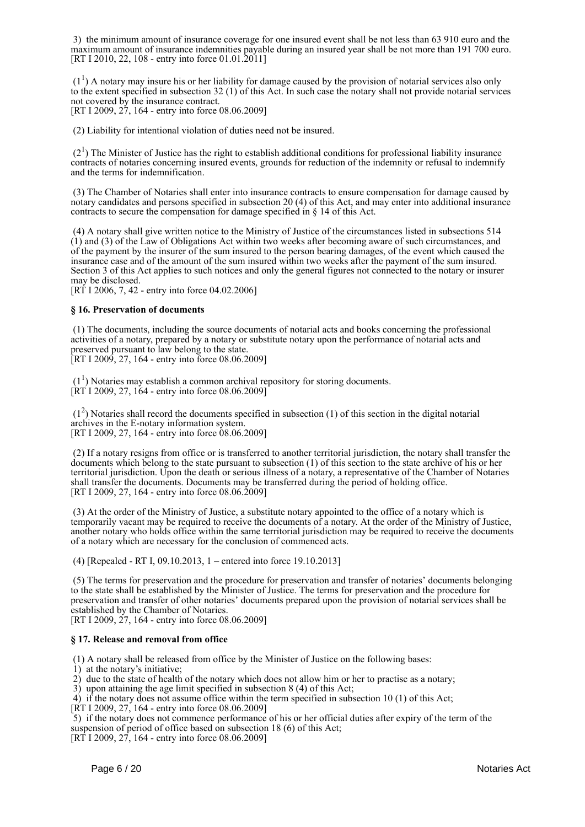3) the minimum amount of insurance coverage for one insured event shall be not less than 63 910 euro and the maximum amount of insurance indemnities payable during an insured year shall be not more than 191 700 euro. [RT I 2010, 22, 108 - entry into force 01.01.2011]

 $(1<sup>1</sup>)$  A notary may insure his or her liability for damage caused by the provision of notarial services also only to the extent specified in subsection 32 (1) of this Act. In such case the notary shall not provide notarial services not covered by the insurance contract.

[RT I 2009, 27, 164 - entry into force 08.06.2009]

(2) Liability for intentional violation of duties need not be insured.

 $(2<sup>1</sup>)$  The Minister of Justice has the right to establish additional conditions for professional liability insurance contracts of notaries concerning insured events, grounds for reduction of the indemnity or refusal to indemnify and the terms for indemnification.

 (3) The Chamber of Notaries shall enter into insurance contracts to ensure compensation for damage caused by notary candidates and persons specified in subsection 20 (4) of this Act, and may enter into additional insurance contracts to secure the compensation for damage specified in § 14 of this Act.

 (4) A notary shall give written notice to the Ministry of Justice of the circumstances listed in subsections 514 (1) and (3) of the Law of Obligations Act within two weeks after becoming aware of such circumstances, and of the payment by the insurer of the sum insured to the person bearing damages, of the event which caused the insurance case and of the amount of the sum insured within two weeks after the payment of the sum insured. Section 3 of this Act applies to such notices and only the general figures not connected to the notary or insurer may be disclosed.

[RT I 2006, 7, 42 - entry into force 04.02.2006]

# **§ 16. Preservation of documents**

 (1) The documents, including the source documents of notarial acts and books concerning the professional activities of a notary, prepared by a notary or substitute notary upon the performance of notarial acts and preserved pursuant to law belong to the state. [RT I 2009, 27, 164 - entry into force 08.06.2009]

 $(1<sup>1</sup>)$  Notaries may establish a common archival repository for storing documents. [RT I 2009, 27, 164 - entry into force 08.06.2009]

 (1<sup>2</sup> ) Notaries shall record the documents specified in subsection (1) of this section in the digital notarial archives in the E-notary information system. [RT I 2009, 27, 164 - entry into force 08.06.2009]

 (2) If a notary resigns from office or is transferred to another territorial jurisdiction, the notary shall transfer the documents which belong to the state pursuant to subsection (1) of this section to the state archive of his or her territorial jurisdiction. Upon the death or serious illness of a notary, a representative of the Chamber of Notaries shall transfer the documents. Documents may be transferred during the period of holding office. [RT I 2009, 27, 164 - entry into force 08.06.2009]

 (3) At the order of the Ministry of Justice, a substitute notary appointed to the office of a notary which is temporarily vacant may be required to receive the documents of a notary. At the order of the Ministry of Justice, another notary who holds office within the same territorial jurisdiction may be required to receive the documents of a notary which are necessary for the conclusion of commenced acts.

(4) [Repealed - RT I, 09.10.2013, 1 – entered into force 19.10.2013]

 (5) The terms for preservation and the procedure for preservation and transfer of notaries' documents belonging to the state shall be established by the Minister of Justice. The terms for preservation and the procedure for preservation and transfer of other notaries' documents prepared upon the provision of notarial services shall be established by the Chamber of Notaries.

[RT I 2009, 27, 164 - entry into force 08.06.2009]

# **§ 17. Release and removal from office**

(1) A notary shall be released from office by the Minister of Justice on the following bases:

- 1) at the notary's initiative;
- 2) due to the state of health of the notary which does not allow him or her to practise as a notary;
- 3) upon attaining the age limit specified in subsection 8 (4) of this Act;
- 4) if the notary does not assume office within the term specified in subsection 10 (1) of this Act;
- [RT I 2009, 27, 164 entry into force 08.06.2009]

 5) if the notary does not commence performance of his or her official duties after expiry of the term of the suspension of period of office based on subsection 18 (6) of this Act;

[RT I 2009, 27, 164 - entry into force 08.06.2009]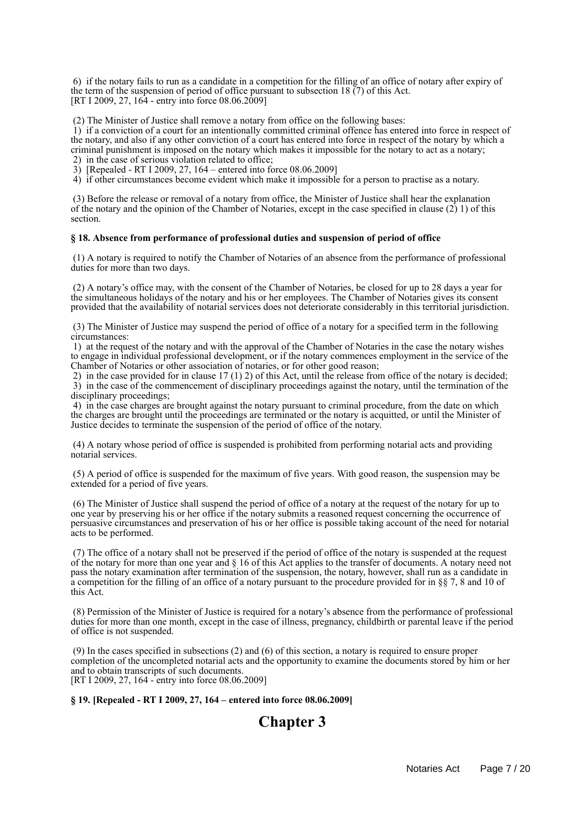6) if the notary fails to run as a candidate in a competition for the filling of an office of notary after expiry of the term of the suspension of period of office pursuant to subsection 18  $(7)$  of this Act. [RT I 2009, 27, 164 - entry into force 08.06.2009]

(2) The Minister of Justice shall remove a notary from office on the following bases:

 1) if a conviction of a court for an intentionally committed criminal offence has entered into force in respect of the notary, and also if any other conviction of a court has entered into force in respect of the notary by which a criminal punishment is imposed on the notary which makes it impossible for the notary to act as a notary; 2) in the case of serious violation related to office;

3) [Repealed - RT I 2009, 27, 164 – entered into force 08.06.2009]

4) if other circumstances become evident which make it impossible for a person to practise as a notary.

 (3) Before the release or removal of a notary from office, the Minister of Justice shall hear the explanation of the notary and the opinion of the Chamber of Notaries, except in the case specified in clause (2) 1) of this section.

# **§ 18. Absence from performance of professional duties and suspension of period of office**

 (1) A notary is required to notify the Chamber of Notaries of an absence from the performance of professional duties for more than two days.

 (2) A notary's office may, with the consent of the Chamber of Notaries, be closed for up to 28 days a year for the simultaneous holidays of the notary and his or her employees. The Chamber of Notaries gives its consent provided that the availability of notarial services does not deteriorate considerably in this territorial jurisdiction.

 (3) The Minister of Justice may suspend the period of office of a notary for a specified term in the following circumstances:

 1) at the request of the notary and with the approval of the Chamber of Notaries in the case the notary wishes to engage in individual professional development, or if the notary commences employment in the service of the Chamber of Notaries or other association of notaries, or for other good reason;

 2) in the case provided for in clause 17 (1) 2) of this Act, until the release from office of the notary is decided; 3) in the case of the commencement of disciplinary proceedings against the notary, until the termination of the disciplinary proceedings;

 4) in the case charges are brought against the notary pursuant to criminal procedure, from the date on which the charges are brought until the proceedings are terminated or the notary is acquitted, or until the Minister of Justice decides to terminate the suspension of the period of office of the notary.

 (4) A notary whose period of office is suspended is prohibited from performing notarial acts and providing notarial services.

 (5) A period of office is suspended for the maximum of five years. With good reason, the suspension may be extended for a period of five years.

 (6) The Minister of Justice shall suspend the period of office of a notary at the request of the notary for up to one year by preserving his or her office if the notary submits a reasoned request concerning the occurrence of persuasive circumstances and preservation of his or her office is possible taking account of the need for notarial acts to be performed.

 (7) The office of a notary shall not be preserved if the period of office of the notary is suspended at the request of the notary for more than one year and § 16 of this Act applies to the transfer of documents. A notary need not pass the notary examination after termination of the suspension, the notary, however, shall run as a candidate in a competition for the filling of an office of a notary pursuant to the procedure provided for in §§ 7, 8 and 10 of this Act.

 (8) Permission of the Minister of Justice is required for a notary's absence from the performance of professional duties for more than one month, except in the case of illness, pregnancy, childbirth or parental leave if the period of office is not suspended.

 (9) In the cases specified in subsections (2) and (6) of this section, a notary is required to ensure proper completion of the uncompleted notarial acts and the opportunity to examine the documents stored by him or her and to obtain transcripts of such documents. [RT I 2009, 27, 164 - entry into force 08.06.2009]

**§ 19. [Repealed - RT I 2009, 27, 164 – entered into force 08.06.2009]**

# **Chapter 3**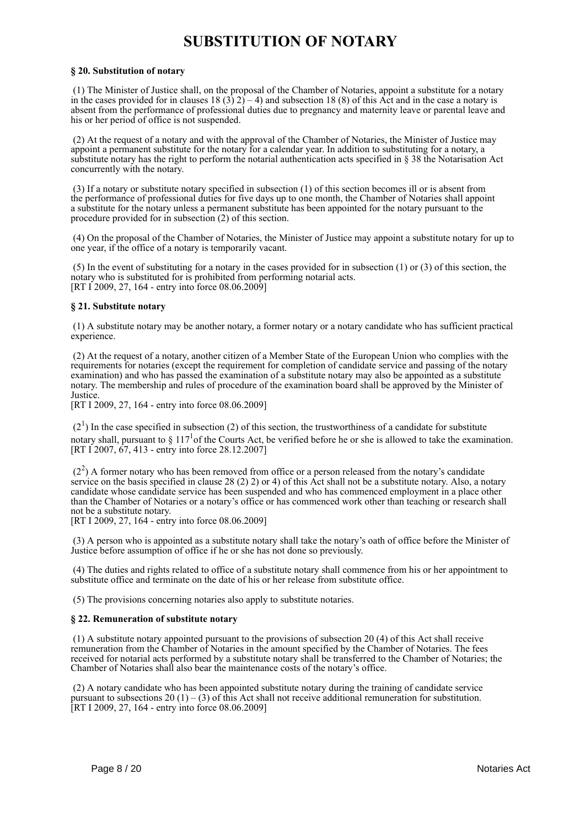# **SUBSTITUTION OF NOTARY**

# **§ 20. Substitution of notary**

 (1) The Minister of Justice shall, on the proposal of the Chamber of Notaries, appoint a substitute for a notary in the cases provided for in clauses  $18(3)2) - 4$ ) and subsection 18 (8) of this Act and in the case a notary is absent from the performance of professional duties due to pregnancy and maternity leave or parental leave and his or her period of office is not suspended.

 (2) At the request of a notary and with the approval of the Chamber of Notaries, the Minister of Justice may appoint a permanent substitute for the notary for a calendar year. In addition to substituting for a notary, a substitute notary has the right to perform the notarial authentication acts specified in § 38 the Notarisation Act concurrently with the notary.

 (3) If a notary or substitute notary specified in subsection (1) of this section becomes ill or is absent from the performance of professional duties for five days up to one month, the Chamber of Notaries shall appoint a substitute for the notary unless a permanent substitute has been appointed for the notary pursuant to the procedure provided for in subsection (2) of this section.

 (4) On the proposal of the Chamber of Notaries, the Minister of Justice may appoint a substitute notary for up to one year, if the office of a notary is temporarily vacant.

 (5) In the event of substituting for a notary in the cases provided for in subsection (1) or (3) of this section, the notary who is substituted for is prohibited from performing notarial acts. [RT I 2009, 27, 164 - entry into force 08.06.2009]

# **§ 21. Substitute notary**

 (1) A substitute notary may be another notary, a former notary or a notary candidate who has sufficient practical experience.

 (2) At the request of a notary, another citizen of a Member State of the European Union who complies with the requirements for notaries (except the requirement for completion of candidate service and passing of the notary examination) and who has passed the examination of a substitute notary may also be appointed as a substitute notary. The membership and rules of procedure of the examination board shall be approved by the Minister of Justice.

[RT I 2009, 27, 164 - entry into force 08.06.2009]

 $(2<sup>1</sup>)$  In the case specified in subsection (2) of this section, the trustworthiness of a candidate for substitute notary shall, pursuant to  $\S 117<sup>1</sup>$  of the Courts Act, be verified before he or she is allowed to take the examination. [RT I 2007, 67, 413 - entry into force 28.12.2007]

 $(2<sup>2</sup>)$  A former notary who has been removed from office or a person released from the notary's candidate service on the basis specified in clause 28 (2) 2) or 4) of this Act shall not be a substitute notary. Also, a notary candidate whose candidate service has been suspended and who has commenced employment in a place other than the Chamber of Notaries or a notary's office or has commenced work other than teaching or research shall not be a substitute notary.

[RT I 2009, 27, 164 - entry into force 08.06.2009]

 (3) A person who is appointed as a substitute notary shall take the notary's oath of office before the Minister of Justice before assumption of office if he or she has not done so previously.

 (4) The duties and rights related to office of a substitute notary shall commence from his or her appointment to substitute office and terminate on the date of his or her release from substitute office.

(5) The provisions concerning notaries also apply to substitute notaries.

# **§ 22. Remuneration of substitute notary**

 (1) A substitute notary appointed pursuant to the provisions of subsection 20 (4) of this Act shall receive remuneration from the Chamber of Notaries in the amount specified by the Chamber of Notaries. The fees received for notarial acts performed by a substitute notary shall be transferred to the Chamber of Notaries; the Chamber of Notaries shall also bear the maintenance costs of the notary's office.

 (2) A notary candidate who has been appointed substitute notary during the training of candidate service pursuant to subsections 20 (1) – (3) of this Act shall not receive additional remuneration for substitution. [RT I 2009, 27, 164 - entry into force 08.06.2009]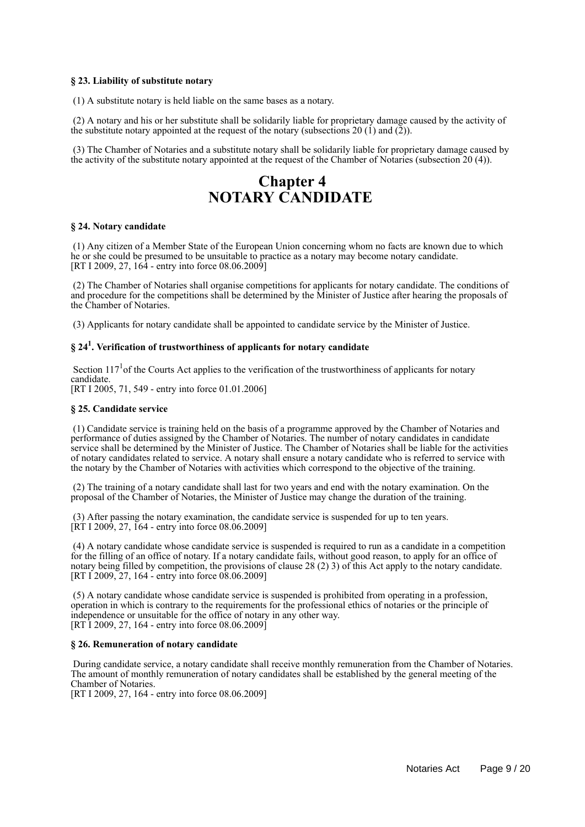# **§ 23. Liability of substitute notary**

(1) A substitute notary is held liable on the same bases as a notary.

 (2) A notary and his or her substitute shall be solidarily liable for proprietary damage caused by the activity of the substitute notary appointed at the request of the notary (subsections 20  $(1)$  and  $(2)$ ).

 (3) The Chamber of Notaries and a substitute notary shall be solidarily liable for proprietary damage caused by the activity of the substitute notary appointed at the request of the Chamber of Notaries (subsection 20 (4)).

# **Chapter 4 NOTARY CANDIDATE**

# **§ 24. Notary candidate**

 (1) Any citizen of a Member State of the European Union concerning whom no facts are known due to which he or she could be presumed to be unsuitable to practice as a notary may become notary candidate. [RT I 2009, 27,  $16\overline{4}$  - entry into force 08.06.2009]

 (2) The Chamber of Notaries shall organise competitions for applicants for notary candidate. The conditions of and procedure for the competitions shall be determined by the Minister of Justice after hearing the proposals of the Chamber of Notaries.

(3) Applicants for notary candidate shall be appointed to candidate service by the Minister of Justice.

# **§ 24<sup>1</sup> . Verification of trustworthiness of applicants for notary candidate**

Section 117<sup>1</sup> of the Courts Act applies to the verification of the trustworthiness of applicants for notary candidate.

[RT I 2005, 71, 549 - entry into force 01.01.2006]

#### **§ 25. Candidate service**

 (1) Candidate service is training held on the basis of a programme approved by the Chamber of Notaries and performance of duties assigned by the Chamber of Notaries. The number of notary candidates in candidate service shall be determined by the Minister of Justice. The Chamber of Notaries shall be liable for the activities of notary candidates related to service. A notary shall ensure a notary candidate who is referred to service with the notary by the Chamber of Notaries with activities which correspond to the objective of the training.

 (2) The training of a notary candidate shall last for two years and end with the notary examination. On the proposal of the Chamber of Notaries, the Minister of Justice may change the duration of the training.

 (3) After passing the notary examination, the candidate service is suspended for up to ten years. [RT I 2009, 27, 164 - entry into force 08.06.2009]

 (4) A notary candidate whose candidate service is suspended is required to run as a candidate in a competition for the filling of an office of notary. If a notary candidate fails, without good reason, to apply for an office of notary being filled by competition, the provisions of clause 28 (2) 3) of this Act apply to the notary candidate. [RT I 2009, 27, 164 - entry into force 08.06.2009]

 (5) A notary candidate whose candidate service is suspended is prohibited from operating in a profession, operation in which is contrary to the requirements for the professional ethics of notaries or the principle of independence or unsuitable for the office of notary in any other way. [RT I 2009, 27, 164 - entry into force 08.06.2009]

#### **§ 26. Remuneration of notary candidate**

 During candidate service, a notary candidate shall receive monthly remuneration from the Chamber of Notaries. The amount of monthly remuneration of notary candidates shall be established by the general meeting of the Chamber of Notaries.

[RT I 2009, 27, 164 - entry into force 08.06.2009]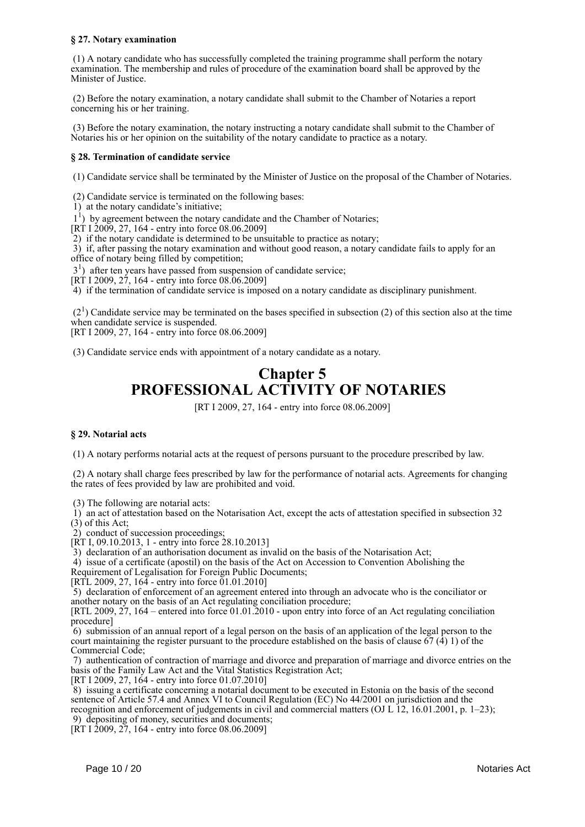# **§ 27. Notary examination**

 (1) A notary candidate who has successfully completed the training programme shall perform the notary examination. The membership and rules of procedure of the examination board shall be approved by the Minister of Justice.

 (2) Before the notary examination, a notary candidate shall submit to the Chamber of Notaries a report concerning his or her training.

 (3) Before the notary examination, the notary instructing a notary candidate shall submit to the Chamber of Notaries his or her opinion on the suitability of the notary candidate to practice as a notary.

# **§ 28. Termination of candidate service**

(1) Candidate service shall be terminated by the Minister of Justice on the proposal of the Chamber of Notaries.

(2) Candidate service is terminated on the following bases:

1) at the notary candidate's initiative;

<sup>1</sup>) by agreement between the notary candidate and the Chamber of Notaries;

[RT I 2009, 27, 164 - entry into force 08.06.2009]

2) if the notary candidate is determined to be unsuitable to practice as notary;

 3) if, after passing the notary examination and without good reason, a notary candidate fails to apply for an office of notary being filled by competition;

3<sup>1</sup>) after ten years have passed from suspension of candidate service;

[RT I 2009, 27, 164 - entry into force 08.06.2009]

4) if the termination of candidate service is imposed on a notary candidate as disciplinary punishment.

 $(2<sup>1</sup>)$  Candidate service may be terminated on the bases specified in subsection (2) of this section also at the time when candidate service is suspended.

[RT I 2009, 27, 164 - entry into force 08.06.2009]

(3) Candidate service ends with appointment of a notary candidate as a notary.

# **Chapter 5 PROFESSIONAL ACTIVITY OF NOTARIES**

[RT I 2009, 27, 164 - entry into force 08.06.2009]

# **§ 29. Notarial acts**

(1) A notary performs notarial acts at the request of persons pursuant to the procedure prescribed by law.

 (2) A notary shall charge fees prescribed by law for the performance of notarial acts. Agreements for changing the rates of fees provided by law are prohibited and void.

(3) The following are notarial acts:

 $\hat{1}$ ) an act of attestation based on the Notarisation Act, except the acts of attestation specified in subsection 32 (3) of this Act;

2) conduct of succession proceedings;

[RT I, 09.10.2013, 1 - entry into force 28.10.2013]

3) declaration of an authorisation document as invalid on the basis of the Notarisation Act;

4) issue of a certificate (apostil) on the basis of the Act on Accession to Convention Abolishing the

Requirement of Legalisation for Foreign Public Documents;

[RTL 2009, 27,  $164$  - entry into force 01.01.2010]

 5) declaration of enforcement of an agreement entered into through an advocate who is the conciliator or another notary on the basis of an Act regulating conciliation procedure;

[RTL 2009, 27, 164 – entered into force 01.01.2010 - upon entry into force of an Act regulating conciliation procedure]

 6) submission of an annual report of a legal person on the basis of an application of the legal person to the court maintaining the register pursuant to the procedure established on the basis of clause  $67$  (4) 1) of the Commercial Code;

 7) authentication of contraction of marriage and divorce and preparation of marriage and divorce entries on the basis of the Family Law Act and the Vital Statistics Registration Act;

[RT I 2009, 27, 164 - entry into force 01.07.2010]

 8) issuing a certificate concerning a notarial document to be executed in Estonia on the basis of the second sentence of Article 57.4 and Annex VI to Council Regulation (EC) No 44/2001 on jurisdiction and the recognition and enforcement of judgements in civil and commercial matters (OJ L 12, 16.01.2001, p. 1–23); 9) depositing of money, securities and documents;

[RT I 2009,  $27$ , 164 - entry into force 08.06.2009]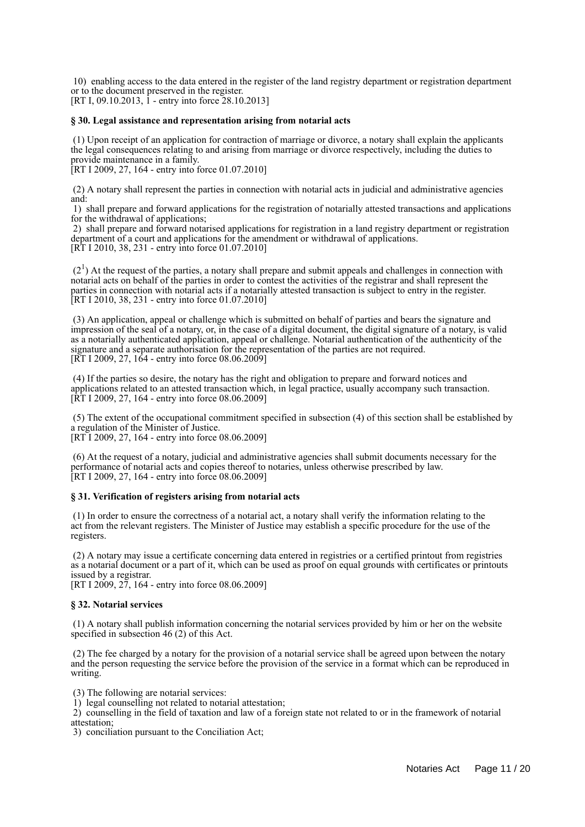10) enabling access to the data entered in the register of the land registry department or registration department or to the document preserved in the register.

[RT I, 09.10.2013, 1 - entry into force 28.10.2013]

#### **§ 30. Legal assistance and representation arising from notarial acts**

 (1) Upon receipt of an application for contraction of marriage or divorce, a notary shall explain the applicants the legal consequences relating to and arising from marriage or divorce respectively, including the duties to provide maintenance in a family.

[RT I 2009, 27, 164 - entry into force 01.07.2010]

 (2) A notary shall represent the parties in connection with notarial acts in judicial and administrative agencies and:

 1) shall prepare and forward applications for the registration of notarially attested transactions and applications for the withdrawal of applications;

 2) shall prepare and forward notarised applications for registration in a land registry department or registration department of a court and applications for the amendment or withdrawal of applications. [RT I 2010, 38, 231 - entry into force 01.07.2010]

 $(2<sup>1</sup>)$  At the request of the parties, a notary shall prepare and submit appeals and challenges in connection with notarial acts on behalf of the parties in order to contest the activities of the registrar and shall represent the parties in connection with notarial acts if a notarially attested transaction is subject to entry in the register. [RT I 2010, 38, 231 - entry into force 01.07.2010]

 (3) An application, appeal or challenge which is submitted on behalf of parties and bears the signature and impression of the seal of a notary, or, in the case of a digital document, the digital signature of a notary, is valid as a notarially authenticated application, appeal or challenge. Notarial authentication of the authenticity of the signature and a separate authorisation for the representation of the parties are not required. [RT I 2009, 27, 164 - entry into force 08.06.2009]

 (4) If the parties so desire, the notary has the right and obligation to prepare and forward notices and applications related to an attested transaction which, in legal practice, usually accompany such transaction. [RT I 2009, 27, 164 - entry into force 08.06.2009]

 (5) The extent of the occupational commitment specified in subsection (4) of this section shall be established by a regulation of the Minister of Justice.

[RT I 2009, 27, 164 - entry into force 08.06.2009]

 (6) At the request of a notary, judicial and administrative agencies shall submit documents necessary for the performance of notarial acts and copies thereof to notaries, unless otherwise prescribed by law. [RT I 2009, 27, 164 - entry into force 08.06.2009]

# **§ 31. Verification of registers arising from notarial acts**

 (1) In order to ensure the correctness of a notarial act, a notary shall verify the information relating to the act from the relevant registers. The Minister of Justice may establish a specific procedure for the use of the registers.

 (2) A notary may issue a certificate concerning data entered in registries or a certified printout from registries as a notarial document or a part of it, which can be used as proof on equal grounds with certificates or printouts issued by a registrar.

[RT I 2009, 27, 164 - entry into force 08.06.2009]

# **§ 32. Notarial services**

 (1) A notary shall publish information concerning the notarial services provided by him or her on the website specified in subsection 46 (2) of this Act.

 (2) The fee charged by a notary for the provision of a notarial service shall be agreed upon between the notary and the person requesting the service before the provision of the service in a format which can be reproduced in writing.

(3) The following are notarial services:

1) legal counselling not related to notarial attestation;

 2) counselling in the field of taxation and law of a foreign state not related to or in the framework of notarial attestation;

3) conciliation pursuant to the Conciliation Act;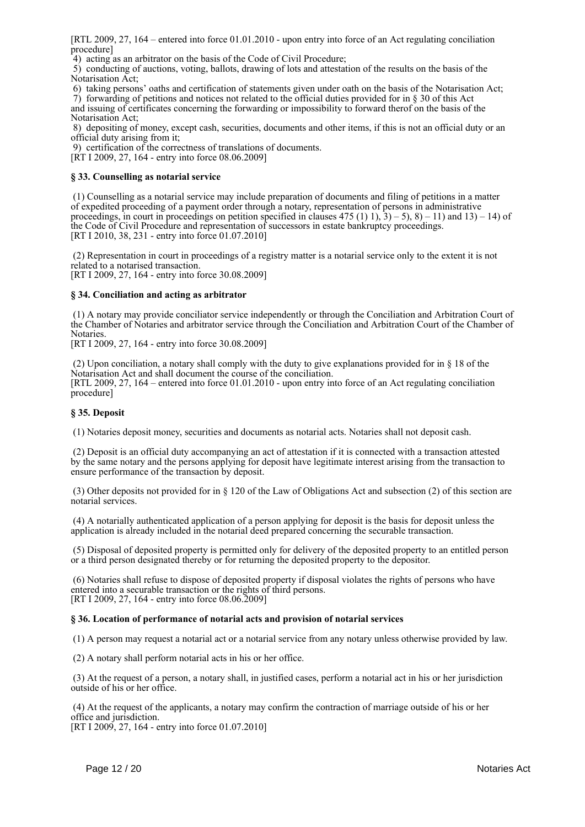[RTL 2009, 27, 164 – entered into force 01.01.2010 - upon entry into force of an Act regulating conciliation procedure]

4) acting as an arbitrator on the basis of the Code of Civil Procedure;

 5) conducting of auctions, voting, ballots, drawing of lots and attestation of the results on the basis of the Notarisation Act;

6) taking persons' oaths and certification of statements given under oath on the basis of the Notarisation Act;

 7) forwarding of petitions and notices not related to the official duties provided for in § 30 of this Act and issuing of certificates concerning the forwarding or impossibility to forward therof on the basis of the Notarisation Act;

 8) depositing of money, except cash, securities, documents and other items, if this is not an official duty or an official duty arising from it;

9) certification of the correctness of translations of documents.

[RT I 2009, 27, 164 - entry into force 08.06.2009]

# **§ 33. Counselling as notarial service**

 (1) Counselling as a notarial service may include preparation of documents and filing of petitions in a matter of expedited proceeding of a payment order through a notary, representation of persons in administrative proceedings, in court in proceedings on petition specified in clauses  $475 (1) 1$ ,  $3) - 5$ ,  $8) - 11$ ) and  $13) - 14$ ) of the Code of Civil Procedure and representation of successors in estate bankruptcy proceedings. [RT I 2010, 38, 231 - entry into force 01.07.2010]

 (2) Representation in court in proceedings of a registry matter is a notarial service only to the extent it is not related to a notarised transaction.

[RT I 2009, 27, 164 - entry into force 30.08.2009]

# **§ 34. Conciliation and acting as arbitrator**

 (1) A notary may provide conciliator service independently or through the Conciliation and Arbitration Court of the Chamber of Notaries and arbitrator service through the Conciliation and Arbitration Court of the Chamber of Notaries.

[RT I 2009, 27, 164 - entry into force 30.08.2009]

 (2) Upon conciliation, a notary shall comply with the duty to give explanations provided for in § 18 of the Notarisation Act and shall document the course of the conciliation. [RTL 2009, 27, 164 – entered into force 01.01.2010 - upon entry into force of an Act regulating conciliation procedure]

# **§ 35. Deposit**

(1) Notaries deposit money, securities and documents as notarial acts. Notaries shall not deposit cash.

 (2) Deposit is an official duty accompanying an act of attestation if it is connected with a transaction attested by the same notary and the persons applying for deposit have legitimate interest arising from the transaction to ensure performance of the transaction by deposit.

 (3) Other deposits not provided for in § 120 of the Law of Obligations Act and subsection (2) of this section are notarial services.

 (4) A notarially authenticated application of a person applying for deposit is the basis for deposit unless the application is already included in the notarial deed prepared concerning the securable transaction.

 (5) Disposal of deposited property is permitted only for delivery of the deposited property to an entitled person or a third person designated thereby or for returning the deposited property to the depositor.

 (6) Notaries shall refuse to dispose of deposited property if disposal violates the rights of persons who have entered into a securable transaction or the rights of third persons. [RT I 2009, 27, 164 - entry into force 08.06.2009]

# **§ 36. Location of performance of notarial acts and provision of notarial services**

(1) A person may request a notarial act or a notarial service from any notary unless otherwise provided by law.

(2) A notary shall perform notarial acts in his or her office.

 (3) At the request of a person, a notary shall, in justified cases, perform a notarial act in his or her jurisdiction outside of his or her office.

 (4) At the request of the applicants, a notary may confirm the contraction of marriage outside of his or her office and jurisdiction.

[RT I 2009, 27, 164 - entry into force 01.07.2010]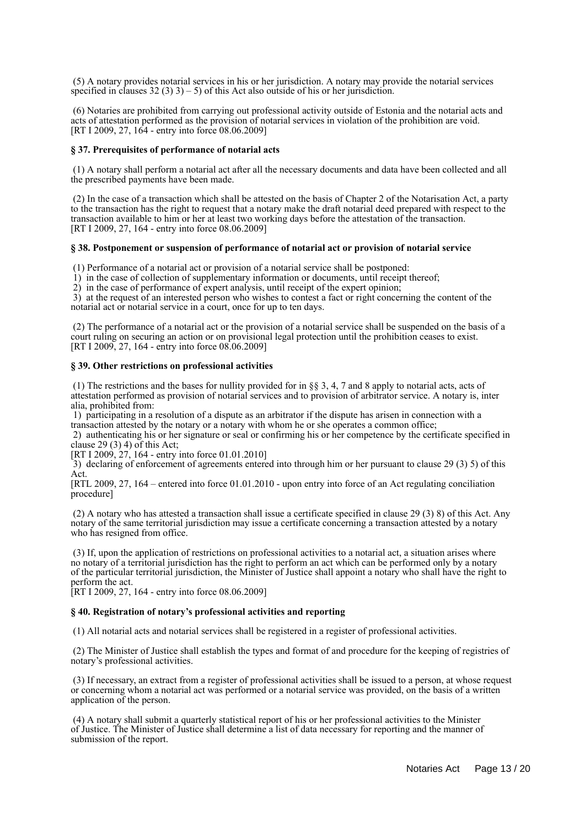(5) A notary provides notarial services in his or her jurisdiction. A notary may provide the notarial services specified in clauses  $32(3)$  3) – 5) of this Act also outside of his or her jurisdiction.

 (6) Notaries are prohibited from carrying out professional activity outside of Estonia and the notarial acts and acts of attestation performed as the provision of notarial services in violation of the prohibition are void. [RT I 2009, 27, 164 - entry into force 08.06.2009]

#### **§ 37. Prerequisites of performance of notarial acts**

 (1) A notary shall perform a notarial act after all the necessary documents and data have been collected and all the prescribed payments have been made.

 (2) In the case of a transaction which shall be attested on the basis of Chapter 2 of the Notarisation Act, a party to the transaction has the right to request that a notary make the draft notarial deed prepared with respect to the transaction available to him or her at least two working days before the attestation of the transaction. [RT I 2009, 27, 164 - entry into force 08.06.2009]

#### **§ 38. Postponement or suspension of performance of notarial act or provision of notarial service**

(1) Performance of a notarial act or provision of a notarial service shall be postponed:

1) in the case of collection of supplementary information or documents, until receipt thereof;

2) in the case of performance of expert analysis, until receipt of the expert opinion;

 3) at the request of an interested person who wishes to contest a fact or right concerning the content of the notarial act or notarial service in a court, once for up to ten days.

 (2) The performance of a notarial act or the provision of a notarial service shall be suspended on the basis of a court ruling on securing an action or on provisional legal protection until the prohibition ceases to exist. [RT I 2009, 27, 164 - entry into force 08.06.2009]

#### **§ 39. Other restrictions on professional activities**

 (1) The restrictions and the bases for nullity provided for in §§ 3, 4, 7 and 8 apply to notarial acts, acts of attestation performed as provision of notarial services and to provision of arbitrator service. A notary is, inter alia, prohibited from:

 1) participating in a resolution of a dispute as an arbitrator if the dispute has arisen in connection with a transaction attested by the notary or a notary with whom he or she operates a common office;

 2) authenticating his or her signature or seal or confirming his or her competence by the certificate specified in clause 29 (3) 4) of this Act;

[RT I 2009, 27, 164 - entry into force 01.01.2010]

 3) declaring of enforcement of agreements entered into through him or her pursuant to clause 29 (3) 5) of this Act.

[RTL 2009, 27, 164 – entered into force 01.01.2010 - upon entry into force of an Act regulating conciliation procedure]

 (2) A notary who has attested a transaction shall issue a certificate specified in clause 29 (3) 8) of this Act. Any notary of the same territorial jurisdiction may issue a certificate concerning a transaction attested by a notary who has resigned from office.

 (3) If, upon the application of restrictions on professional activities to a notarial act, a situation arises where no notary of a territorial jurisdiction has the right to perform an act which can be performed only by a notary of the particular territorial jurisdiction, the Minister of Justice shall appoint a notary who shall have the right to perform the act.

[RT I 2009, 27, 164 - entry into force 08.06.2009]

#### **§ 40. Registration of notary's professional activities and reporting**

(1) All notarial acts and notarial services shall be registered in a register of professional activities.

 (2) The Minister of Justice shall establish the types and format of and procedure for the keeping of registries of notary's professional activities.

 (3) If necessary, an extract from a register of professional activities shall be issued to a person, at whose request or concerning whom a notarial act was performed or a notarial service was provided, on the basis of a written application of the person.

 (4) A notary shall submit a quarterly statistical report of his or her professional activities to the Minister of Justice. The Minister of Justice shall determine a list of data necessary for reporting and the manner of submission of the report.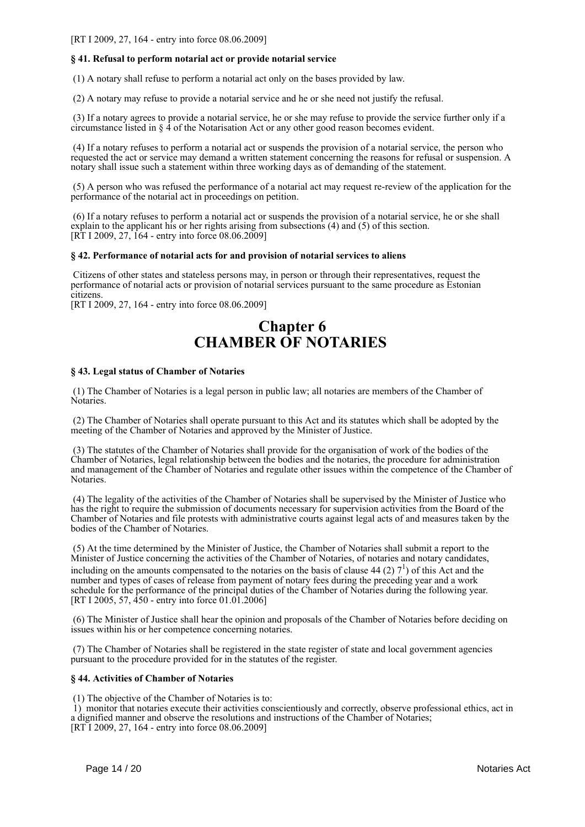[RT I 2009, 27, 164 - entry into force 08.06.2009]

# **§ 41. Refusal to perform notarial act or provide notarial service**

(1) A notary shall refuse to perform a notarial act only on the bases provided by law.

(2) A notary may refuse to provide a notarial service and he or she need not justify the refusal.

 (3) If a notary agrees to provide a notarial service, he or she may refuse to provide the service further only if a circumstance listed in § 4 of the Notarisation Act or any other good reason becomes evident.

 (4) If a notary refuses to perform a notarial act or suspends the provision of a notarial service, the person who requested the act or service may demand a written statement concerning the reasons for refusal or suspension. A notary shall issue such a statement within three working days as of demanding of the statement.

 (5) A person who was refused the performance of a notarial act may request re-review of the application for the performance of the notarial act in proceedings on petition.

 (6) If a notary refuses to perform a notarial act or suspends the provision of a notarial service, he or she shall explain to the applicant his or her rights arising from subsections (4) and (5) of this section. [RT I 2009, 27, 164 - entry into force  $08.06.2009$ ]

# **§ 42. Performance of notarial acts for and provision of notarial services to aliens**

 Citizens of other states and stateless persons may, in person or through their representatives, request the performance of notarial acts or provision of notarial services pursuant to the same procedure as Estonian citizens.

[RT I 2009, 27, 164 - entry into force 08.06.2009]

# **Chapter 6 CHAMBER OF NOTARIES**

# **§ 43. Legal status of Chamber of Notaries**

 (1) The Chamber of Notaries is a legal person in public law; all notaries are members of the Chamber of Notaries.

 (2) The Chamber of Notaries shall operate pursuant to this Act and its statutes which shall be adopted by the meeting of the Chamber of Notaries and approved by the Minister of Justice.

 (3) The statutes of the Chamber of Notaries shall provide for the organisation of work of the bodies of the Chamber of Notaries, legal relationship between the bodies and the notaries, the procedure for administration and management of the Chamber of Notaries and regulate other issues within the competence of the Chamber of Notaries.

 (4) The legality of the activities of the Chamber of Notaries shall be supervised by the Minister of Justice who has the right to require the submission of documents necessary for supervision activities from the Board of the Chamber of Notaries and file protests with administrative courts against legal acts of and measures taken by the bodies of the Chamber of Notaries.

 (5) At the time determined by the Minister of Justice, the Chamber of Notaries shall submit a report to the Minister of Justice concerning the activities of the Chamber of Notaries, of notaries and notary candidates, including on the amounts compensated to the notaries on the basis of clause 44 (2)  $7^1$ ) of this Act and the number and types of cases of release from payment of notary fees during the preceding year and a work schedule for the performance of the principal duties of the Chamber of Notaries during the following year. [RT I 2005, 57, 450 - entry into force 01.01.2006]

 (6) The Minister of Justice shall hear the opinion and proposals of the Chamber of Notaries before deciding on issues within his or her competence concerning notaries.

 (7) The Chamber of Notaries shall be registered in the state register of state and local government agencies pursuant to the procedure provided for in the statutes of the register.

# **§ 44. Activities of Chamber of Notaries**

(1) The objective of the Chamber of Notaries is to:

 1) monitor that notaries execute their activities conscientiously and correctly, observe professional ethics, act in a dignified manner and observe the resolutions and instructions of the Chamber of Notaries; [RT I 2009, 27, 164 - entry into force 08.06.2009]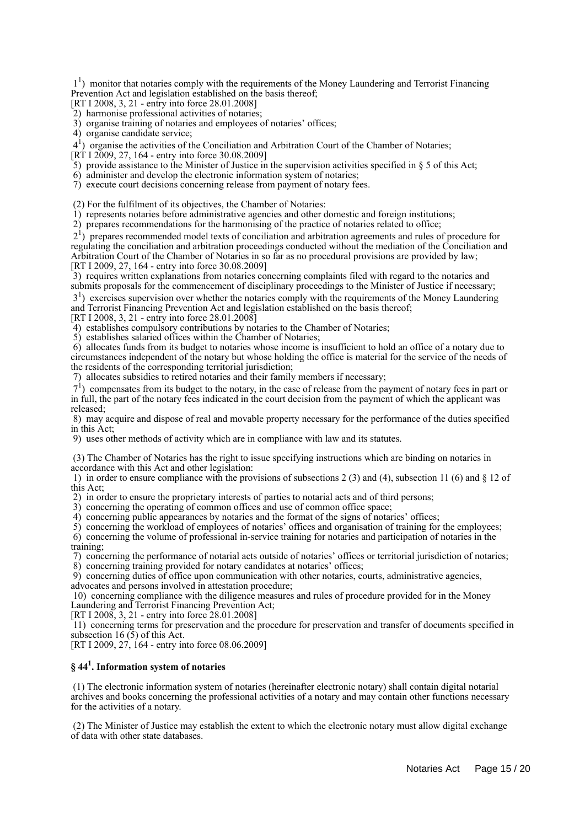11 ) monitor that notaries comply with the requirements of the Money Laundering and Terrorist Financing Prevention Act and legislation established on the basis thereof;

[RT I 2008, 3, 21 - entry into force 28.01.2008]

- 2) harmonise professional activities of notaries;
- 3) organise training of notaries and employees of notaries' offices;

4) organise candidate service;

41 ) organise the activities of the Conciliation and Arbitration Court of the Chamber of Notaries;

[RT I 2009, 27, 164 - entry into force 30.08.2009]

5) provide assistance to the Minister of Justice in the supervision activities specified in  $\S$  5 of this Act;

6) administer and develop the electronic information system of notaries;

7) execute court decisions concerning release from payment of notary fees.

(2) For the fulfilment of its objectives, the Chamber of Notaries:

1) represents notaries before administrative agencies and other domestic and foreign institutions;

2) prepares recommendations for the harmonising of the practice of notaries related to office;

 21 ) prepares recommended model texts of conciliation and arbitration agreements and rules of procedure for regulating the conciliation and arbitration proceedings conducted without the mediation of the Conciliation and Arbitration Court of the Chamber of Notaries in so far as no procedural provisions are provided by law; [RT I 2009, 27, 164 - entry into force 30.08.2009]

 3) requires written explanations from notaries concerning complaints filed with regard to the notaries and submits proposals for the commencement of disciplinary proceedings to the Minister of Justice if necessary;

3<sup>1</sup>) exercises supervision over whether the notaries comply with the requirements of the Money Laundering and Terrorist Financing Prevention Act and legislation established on the basis thereof;

[RT I 2008, 3, 21 - entry into force 28.01.2008]

4) establishes compulsory contributions by notaries to the Chamber of Notaries;

5) establishes salaried offices within the Chamber of Notaries;

 6) allocates funds from its budget to notaries whose income is insufficient to hold an office of a notary due to circumstances independent of the notary but whose holding the office is material for the service of the needs of the residents of the corresponding territorial jurisdiction;

7) allocates subsidies to retired notaries and their family members if necessary;

 71 ) compensates from its budget to the notary, in the case of release from the payment of notary fees in part or in full, the part of the notary fees indicated in the court decision from the payment of which the applicant was released;

 8) may acquire and dispose of real and movable property necessary for the performance of the duties specified in this Act;

9) uses other methods of activity which are in compliance with law and its statutes.

 (3) The Chamber of Notaries has the right to issue specifying instructions which are binding on notaries in accordance with this Act and other legislation:

 1) in order to ensure compliance with the provisions of subsections 2 (3) and (4), subsection 11 (6) and § 12 of this Act;

2) in order to ensure the proprietary interests of parties to notarial acts and of third persons;

3) concerning the operating of common offices and use of common office space;

4) concerning public appearances by notaries and the format of the signs of notaries' offices;

 5) concerning the workload of employees of notaries' offices and organisation of training for the employees; 6) concerning the volume of professional in-service training for notaries and participation of notaries in the training;

7) concerning the performance of notarial acts outside of notaries' offices or territorial jurisdiction of notaries;

8) concerning training provided for notary candidates at notaries' offices;

 9) concerning duties of office upon communication with other notaries, courts, administrative agencies, advocates and persons involved in attestation procedure;

 10) concerning compliance with the diligence measures and rules of procedure provided for in the Money Laundering and Terrorist Financing Prevention Act;

[RT I 2008, 3, 21 - entry into force 28.01.2008]

 11) concerning terms for preservation and the procedure for preservation and transfer of documents specified in subsection 16 $(5)$  of this Act.

[RT I 2009, 27, 164 - entry into force 08.06.2009]

# **§ 44<sup>1</sup> . Information system of notaries**

 (1) The electronic information system of notaries (hereinafter electronic notary) shall contain digital notarial archives and books concerning the professional activities of a notary and may contain other functions necessary for the activities of a notary.

 (2) The Minister of Justice may establish the extent to which the electronic notary must allow digital exchange of data with other state databases.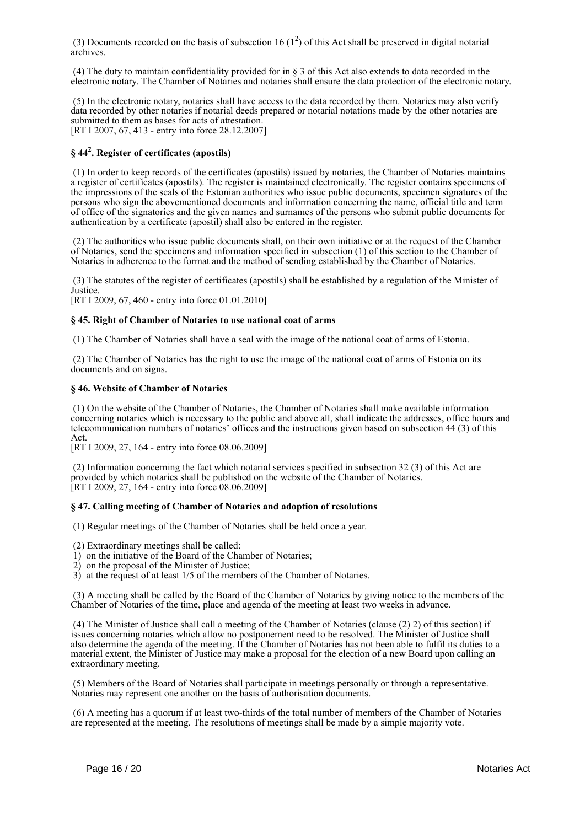(3) Documents recorded on the basis of subsection 16  $(1^2)$  of this Act shall be preserved in digital notarial archives.

 (4) The duty to maintain confidentiality provided for in § 3 of this Act also extends to data recorded in the electronic notary. The Chamber of Notaries and notaries shall ensure the data protection of the electronic notary.

 (5) In the electronic notary, notaries shall have access to the data recorded by them. Notaries may also verify data recorded by other notaries if notarial deeds prepared or notarial notations made by the other notaries are submitted to them as bases for acts of attestation. [RT I 2007, 67, 413 - entry into force 28.12.2007]

# **§ 44<sup>2</sup> . Register of certificates (apostils)**

 (1) In order to keep records of the certificates (apostils) issued by notaries, the Chamber of Notaries maintains a register of certificates (apostils). The register is maintained electronically. The register contains specimens of the impressions of the seals of the Estonian authorities who issue public documents, specimen signatures of the persons who sign the abovementioned documents and information concerning the name, official title and term of office of the signatories and the given names and surnames of the persons who submit public documents for authentication by a certificate (apostil) shall also be entered in the register.

 (2) The authorities who issue public documents shall, on their own initiative or at the request of the Chamber of Notaries, send the specimens and information specified in subsection (1) of this section to the Chamber of Notaries in adherence to the format and the method of sending established by the Chamber of Notaries.

 (3) The statutes of the register of certificates (apostils) shall be established by a regulation of the Minister of Justice.

[RT I 2009, 67, 460 - entry into force 01.01.2010]

# **§ 45. Right of Chamber of Notaries to use national coat of arms**

(1) The Chamber of Notaries shall have a seal with the image of the national coat of arms of Estonia.

 (2) The Chamber of Notaries has the right to use the image of the national coat of arms of Estonia on its documents and on signs.

# **§ 46. Website of Chamber of Notaries**

 (1) On the website of the Chamber of Notaries, the Chamber of Notaries shall make available information concerning notaries which is necessary to the public and above all, shall indicate the addresses, office hours and telecommunication numbers of notaries' offices and the instructions given based on subsection 44 (3) of this Act.

[RT I 2009, 27, 164 - entry into force 08.06.2009]

 (2) Information concerning the fact which notarial services specified in subsection 32 (3) of this Act are provided by which notaries shall be published on the website of the Chamber of Notaries.  $[RT I 2009, 27, 164 - entry into force 08.06.2009]$ 

# **§ 47. Calling meeting of Chamber of Notaries and adoption of resolutions**

(1) Regular meetings of the Chamber of Notaries shall be held once a year.

(2) Extraordinary meetings shall be called:

- 1) on the initiative of the Board of the Chamber of Notaries;
- 2) on the proposal of the Minister of Justice;

3) at the request of at least 1/5 of the members of the Chamber of Notaries.

 (3) A meeting shall be called by the Board of the Chamber of Notaries by giving notice to the members of the Chamber of Notaries of the time, place and agenda of the meeting at least two weeks in advance.

 (4) The Minister of Justice shall call a meeting of the Chamber of Notaries (clause (2) 2) of this section) if issues concerning notaries which allow no postponement need to be resolved. The Minister of Justice shall also determine the agenda of the meeting. If the Chamber of Notaries has not been able to fulfil its duties to a material extent, the Minister of Justice may make a proposal for the election of a new Board upon calling an extraordinary meeting.

 (5) Members of the Board of Notaries shall participate in meetings personally or through a representative. Notaries may represent one another on the basis of authorisation documents.

 (6) A meeting has a quorum if at least two-thirds of the total number of members of the Chamber of Notaries are represented at the meeting. The resolutions of meetings shall be made by a simple majority vote.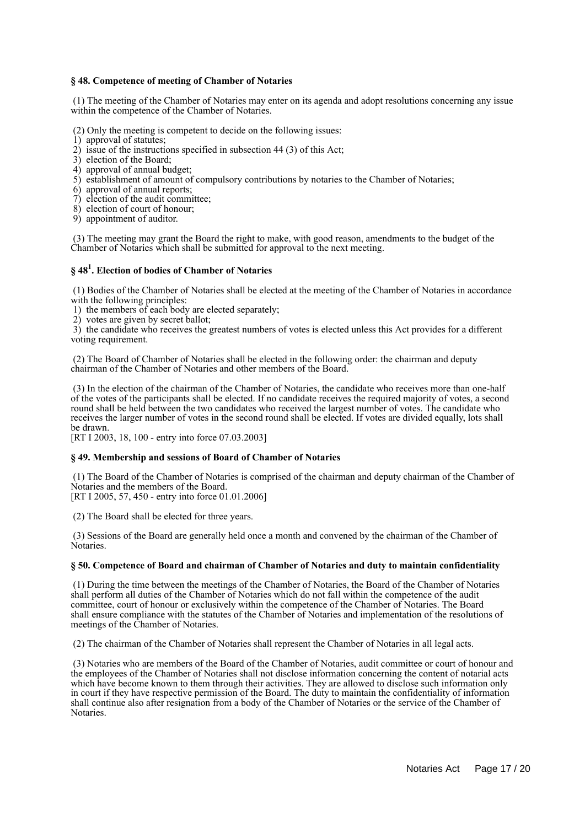# **§ 48. Competence of meeting of Chamber of Notaries**

 (1) The meeting of the Chamber of Notaries may enter on its agenda and adopt resolutions concerning any issue within the competence of the Chamber of Notaries.

(2) Only the meeting is competent to decide on the following issues:

- 1) approval of statutes;
- 2) issue of the instructions specified in subsection 44 (3) of this Act;
- 3) election of the Board;
- 4) approval of annual budget;
- 5) establishment of amount of compulsory contributions by notaries to the Chamber of Notaries;
- 6) approval of annual reports;
- 7) election of the audit committee;
- 8) election of court of honour;
- 9) appointment of auditor.

 (3) The meeting may grant the Board the right to make, with good reason, amendments to the budget of the Chamber of Notaries which shall be submitted for approval to the next meeting.

# **§ 48<sup>1</sup> . Election of bodies of Chamber of Notaries**

 (1) Bodies of the Chamber of Notaries shall be elected at the meeting of the Chamber of Notaries in accordance with the following principles:

1) the members of each body are elected separately;

2) votes are given by secret ballot;

 3) the candidate who receives the greatest numbers of votes is elected unless this Act provides for a different voting requirement.

 (2) The Board of Chamber of Notaries shall be elected in the following order: the chairman and deputy chairman of the Chamber of Notaries and other members of the Board.

 (3) In the election of the chairman of the Chamber of Notaries, the candidate who receives more than one-half of the votes of the participants shall be elected. If no candidate receives the required majority of votes, a second round shall be held between the two candidates who received the largest number of votes. The candidate who receives the larger number of votes in the second round shall be elected. If votes are divided equally, lots shall be drawn.

[RT I 2003, 18, 100 - entry into force 07.03.2003]

# **§ 49. Membership and sessions of Board of Chamber of Notaries**

 (1) The Board of the Chamber of Notaries is comprised of the chairman and deputy chairman of the Chamber of Notaries and the members of the Board.

[RT I 2005, 57, 450 - entry into force 01.01.2006]

(2) The Board shall be elected for three years.

 (3) Sessions of the Board are generally held once a month and convened by the chairman of the Chamber of Notaries.

# **§ 50. Competence of Board and chairman of Chamber of Notaries and duty to maintain confidentiality**

 (1) During the time between the meetings of the Chamber of Notaries, the Board of the Chamber of Notaries shall perform all duties of the Chamber of Notaries which do not fall within the competence of the audit committee, court of honour or exclusively within the competence of the Chamber of Notaries. The Board shall ensure compliance with the statutes of the Chamber of Notaries and implementation of the resolutions of meetings of the Chamber of Notaries.

(2) The chairman of the Chamber of Notaries shall represent the Chamber of Notaries in all legal acts.

 (3) Notaries who are members of the Board of the Chamber of Notaries, audit committee or court of honour and the employees of the Chamber of Notaries shall not disclose information concerning the content of notarial acts which have become known to them through their activities. They are allowed to disclose such information only in court if they have respective permission of the Board. The duty to maintain the confidentiality of information shall continue also after resignation from a body of the Chamber of Notaries or the service of the Chamber of Notaries.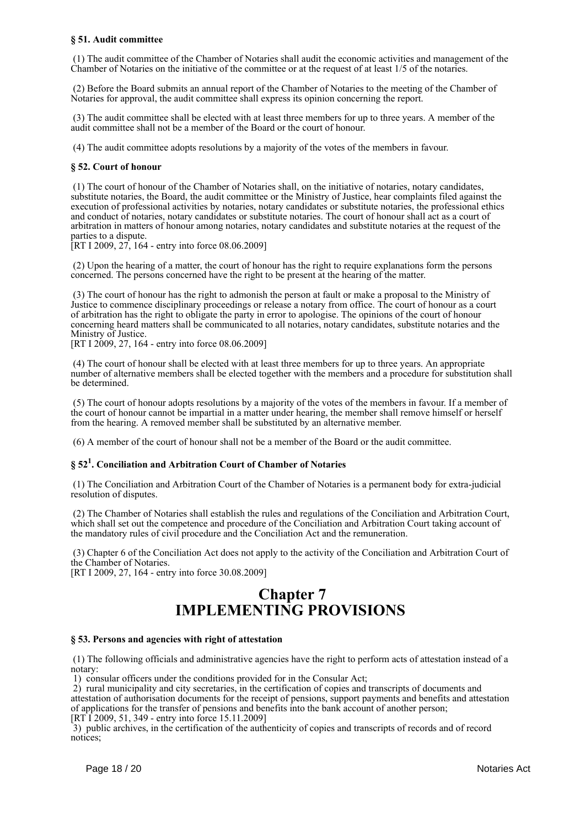# **§ 51. Audit committee**

 (1) The audit committee of the Chamber of Notaries shall audit the economic activities and management of the Chamber of Notaries on the initiative of the committee or at the request of at least 1/5 of the notaries.

 (2) Before the Board submits an annual report of the Chamber of Notaries to the meeting of the Chamber of Notaries for approval, the audit committee shall express its opinion concerning the report.

 (3) The audit committee shall be elected with at least three members for up to three years. A member of the audit committee shall not be a member of the Board or the court of honour.

(4) The audit committee adopts resolutions by a majority of the votes of the members in favour.

# **§ 52. Court of honour**

 (1) The court of honour of the Chamber of Notaries shall, on the initiative of notaries, notary candidates, substitute notaries, the Board, the audit committee or the Ministry of Justice, hear complaints filed against the execution of professional activities by notaries, notary candidates or substitute notaries, the professional ethics and conduct of notaries, notary candidates or substitute notaries. The court of honour shall act as a court of arbitration in matters of honour among notaries, notary candidates and substitute notaries at the request of the parties to a dispute.

 $[RT I 2009, 27, 164 - entry into force 08.06.2009]$ 

 (2) Upon the hearing of a matter, the court of honour has the right to require explanations form the persons concerned. The persons concerned have the right to be present at the hearing of the matter.

 (3) The court of honour has the right to admonish the person at fault or make a proposal to the Ministry of Justice to commence disciplinary proceedings or release a notary from office. The court of honour as a court of arbitration has the right to obligate the party in error to apologise. The opinions of the court of honour concerning heard matters shall be communicated to all notaries, notary candidates, substitute notaries and the Ministry of Justice.

[RT I 2009, 27, 164 - entry into force 08.06.2009]

 (4) The court of honour shall be elected with at least three members for up to three years. An appropriate number of alternative members shall be elected together with the members and a procedure for substitution shall be determined.

 (5) The court of honour adopts resolutions by a majority of the votes of the members in favour. If a member of the court of honour cannot be impartial in a matter under hearing, the member shall remove himself or herself from the hearing. A removed member shall be substituted by an alternative member.

(6) A member of the court of honour shall not be a member of the Board or the audit committee.

# **§ 52<sup>1</sup> . Conciliation and Arbitration Court of Chamber of Notaries**

 (1) The Conciliation and Arbitration Court of the Chamber of Notaries is a permanent body for extra-judicial resolution of disputes.

 (2) The Chamber of Notaries shall establish the rules and regulations of the Conciliation and Arbitration Court, which shall set out the competence and procedure of the Conciliation and Arbitration Court taking account of the mandatory rules of civil procedure and the Conciliation Act and the remuneration.

 (3) Chapter 6 of the Conciliation Act does not apply to the activity of the Conciliation and Arbitration Court of the Chamber of Notaries.

[RT I 2009, 27, 164 - entry into force 30.08.2009]

# **Chapter 7 IMPLEMENTING PROVISIONS**

# **§ 53. Persons and agencies with right of attestation**

 (1) The following officials and administrative agencies have the right to perform acts of attestation instead of a notary:

1) consular officers under the conditions provided for in the Consular Act;

 2) rural municipality and city secretaries, in the certification of copies and transcripts of documents and attestation of authorisation documents for the receipt of pensions, support payments and benefits and attestation of applications for the transfer of pensions and benefits into the bank account of another person; [RT I 2009, 51, 349 - entry into force 15.11.2009]

 3) public archives, in the certification of the authenticity of copies and transcripts of records and of record notices;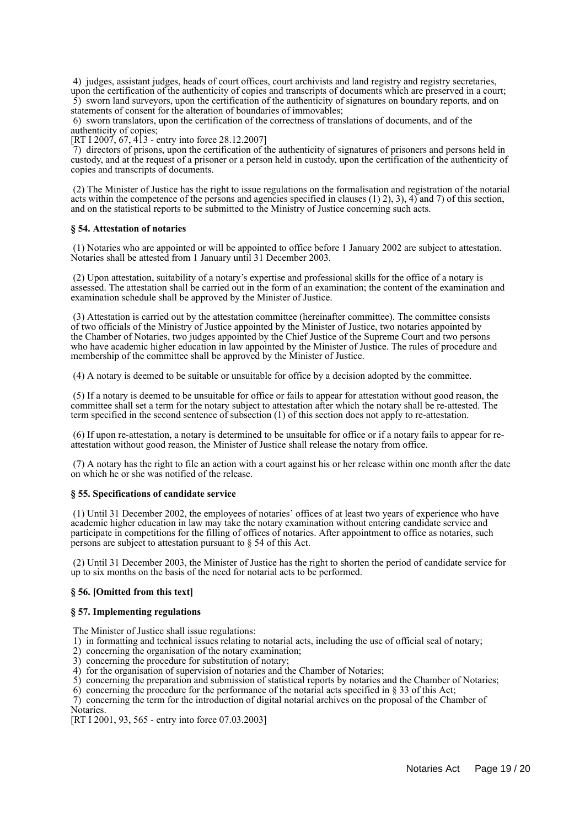4) judges, assistant judges, heads of court offices, court archivists and land registry and registry secretaries, upon the certification of the authenticity of copies and transcripts of documents which are preserved in a court; 5) sworn land surveyors, upon the certification of the authenticity of signatures on boundary reports, and on statements of consent for the alteration of boundaries of immovables;

 6) sworn translators, upon the certification of the correctness of translations of documents, and of the authenticity of copies;

[RT I 2007, 67, 413 - entry into force 28.12.2007]

 7) directors of prisons, upon the certification of the authenticity of signatures of prisoners and persons held in custody, and at the request of a prisoner or a person held in custody, upon the certification of the authenticity of copies and transcripts of documents.

 (2) The Minister of Justice has the right to issue regulations on the formalisation and registration of the notarial acts within the competence of the persons and agencies specified in clauses  $(1)$  2), 3), 4) and 7) of this section, and on the statistical reports to be submitted to the Ministry of Justice concerning such acts.

# **§ 54. Attestation of notaries**

 (1) Notaries who are appointed or will be appointed to office before 1 January 2002 are subject to attestation. Notaries shall be attested from 1 January until 31 December 2003.

 (2) Upon attestation, suitability of a notary's expertise and professional skills for the office of a notary is assessed. The attestation shall be carried out in the form of an examination; the content of the examination and examination schedule shall be approved by the Minister of Justice.

 (3) Attestation is carried out by the attestation committee (hereinafter committee). The committee consists of two officials of the Ministry of Justice appointed by the Minister of Justice, two notaries appointed by the Chamber of Notaries, two judges appointed by the Chief Justice of the Supreme Court and two persons who have academic higher education in law appointed by the Minister of Justice. The rules of procedure and membership of the committee shall be approved by the Minister of Justice.

(4) A notary is deemed to be suitable or unsuitable for office by a decision adopted by the committee.

 (5) If a notary is deemed to be unsuitable for office or fails to appear for attestation without good reason, the committee shall set a term for the notary subject to attestation after which the notary shall be re-attested. The term specified in the second sentence of subsection (1) of this section does not apply to re-attestation.

 (6) If upon re-attestation, a notary is determined to be unsuitable for office or if a notary fails to appear for reattestation without good reason, the Minister of Justice shall release the notary from office.

 (7) A notary has the right to file an action with a court against his or her release within one month after the date on which he or she was notified of the release.

# **§ 55. Specifications of candidate service**

 (1) Until 31 December 2002, the employees of notaries' offices of at least two years of experience who have academic higher education in law may take the notary examination without entering candidate service and participate in competitions for the filling of offices of notaries. After appointment to office as notaries, such persons are subject to attestation pursuant to § 54 of this Act.

 (2) Until 31 December 2003, the Minister of Justice has the right to shorten the period of candidate service for up to six months on the basis of the need for notarial acts to be performed.

# **§ 56. [Omitted from this text]**

# **§ 57. Implementing regulations**

The Minister of Justice shall issue regulations:

- 1) in formatting and technical issues relating to notarial acts, including the use of official seal of notary;
- 2) concerning the organisation of the notary examination;
- 3) concerning the procedure for substitution of notary;
- 4) for the organisation of supervision of notaries and the Chamber of Notaries;
- 5) concerning the preparation and submission of statistical reports by notaries and the Chamber of Notaries;
- 6) concerning the procedure for the performance of the notarial acts specified in § 33 of this Act;
- 7) concerning the term for the introduction of digital notarial archives on the proposal of the Chamber of

Notaries.

[RT I 2001, 93, 565 - entry into force 07.03.2003]